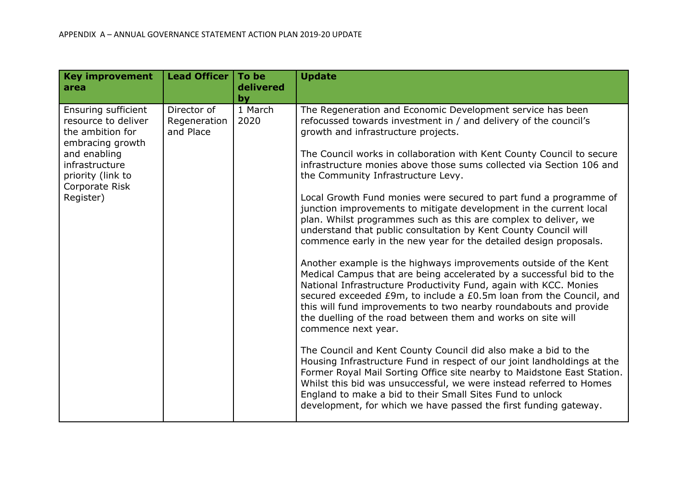| <b>Key improvement</b><br>area                                                                                                                                           | <b>Lead Officer</b>                      | To be<br>delivered<br>by | <b>Update</b>                                                                                                                                                                                                                                                                                                                                                                                                                                                                                                                                                                                                                                                                                                                                                                                                                                                                                                                                                                                                                                                                                                                                                                                                                                                                                                                                                                                                                                                                                                                                                                                          |
|--------------------------------------------------------------------------------------------------------------------------------------------------------------------------|------------------------------------------|--------------------------|--------------------------------------------------------------------------------------------------------------------------------------------------------------------------------------------------------------------------------------------------------------------------------------------------------------------------------------------------------------------------------------------------------------------------------------------------------------------------------------------------------------------------------------------------------------------------------------------------------------------------------------------------------------------------------------------------------------------------------------------------------------------------------------------------------------------------------------------------------------------------------------------------------------------------------------------------------------------------------------------------------------------------------------------------------------------------------------------------------------------------------------------------------------------------------------------------------------------------------------------------------------------------------------------------------------------------------------------------------------------------------------------------------------------------------------------------------------------------------------------------------------------------------------------------------------------------------------------------------|
| Ensuring sufficient<br>resource to deliver<br>the ambition for<br>embracing growth<br>and enabling<br>infrastructure<br>priority (link to<br>Corporate Risk<br>Register) | Director of<br>Regeneration<br>and Place | 1 March<br>2020          | The Regeneration and Economic Development service has been<br>refocussed towards investment in / and delivery of the council's<br>growth and infrastructure projects.<br>The Council works in collaboration with Kent County Council to secure<br>infrastructure monies above those sums collected via Section 106 and<br>the Community Infrastructure Levy.<br>Local Growth Fund monies were secured to part fund a programme of<br>junction improvements to mitigate development in the current local<br>plan. Whilst programmes such as this are complex to deliver, we<br>understand that public consultation by Kent County Council will<br>commence early in the new year for the detailed design proposals.<br>Another example is the highways improvements outside of the Kent<br>Medical Campus that are being accelerated by a successful bid to the<br>National Infrastructure Productivity Fund, again with KCC. Monies<br>secured exceeded £9m, to include a £0.5m loan from the Council, and<br>this will fund improvements to two nearby roundabouts and provide<br>the duelling of the road between them and works on site will<br>commence next year.<br>The Council and Kent County Council did also make a bid to the<br>Housing Infrastructure Fund in respect of our joint landholdings at the<br>Former Royal Mail Sorting Office site nearby to Maidstone East Station.<br>Whilst this bid was unsuccessful, we were instead referred to Homes<br>England to make a bid to their Small Sites Fund to unlock<br>development, for which we have passed the first funding gateway. |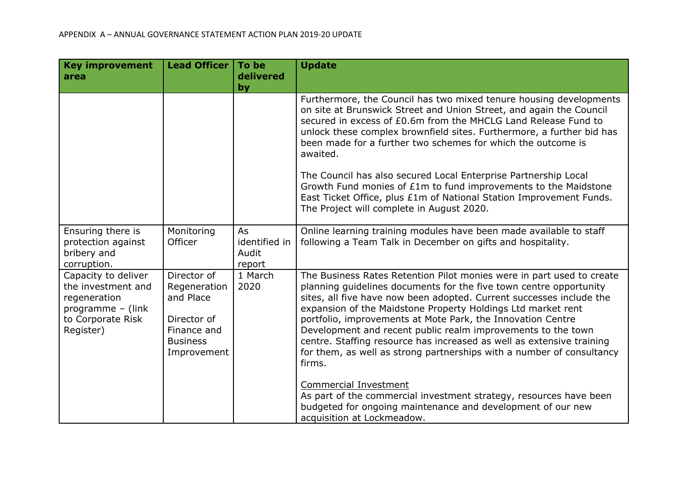| <b>Key improvement</b><br>area                                                                                   | <b>Lead Officer</b>                                                                                      | To be<br>delivered<br>by               | <b>Update</b>                                                                                                                                                                                                                                                                                                                                                                                                                                                                                                                                                                  |
|------------------------------------------------------------------------------------------------------------------|----------------------------------------------------------------------------------------------------------|----------------------------------------|--------------------------------------------------------------------------------------------------------------------------------------------------------------------------------------------------------------------------------------------------------------------------------------------------------------------------------------------------------------------------------------------------------------------------------------------------------------------------------------------------------------------------------------------------------------------------------|
|                                                                                                                  |                                                                                                          |                                        | Furthermore, the Council has two mixed tenure housing developments<br>on site at Brunswick Street and Union Street, and again the Council<br>secured in excess of £0.6m from the MHCLG Land Release Fund to<br>unlock these complex brownfield sites. Furthermore, a further bid has<br>been made for a further two schemes for which the outcome is<br>awaited.                                                                                                                                                                                                               |
|                                                                                                                  |                                                                                                          |                                        | The Council has also secured Local Enterprise Partnership Local<br>Growth Fund monies of £1m to fund improvements to the Maidstone<br>East Ticket Office, plus £1m of National Station Improvement Funds.<br>The Project will complete in August 2020.                                                                                                                                                                                                                                                                                                                         |
| Ensuring there is<br>protection against<br>bribery and<br>corruption.                                            | Monitoring<br>Officer                                                                                    | As<br>identified in<br>Audit<br>report | Online learning training modules have been made available to staff<br>following a Team Talk in December on gifts and hospitality.                                                                                                                                                                                                                                                                                                                                                                                                                                              |
| Capacity to deliver<br>the investment and<br>regeneration<br>programme - (link<br>to Corporate Risk<br>Register) | Director of<br>Regeneration<br>and Place<br>Director of<br>Finance and<br><b>Business</b><br>Improvement | 1 March<br>2020                        | The Business Rates Retention Pilot monies were in part used to create<br>planning guidelines documents for the five town centre opportunity<br>sites, all five have now been adopted. Current successes include the<br>expansion of the Maidstone Property Holdings Ltd market rent<br>portfolio, improvements at Mote Park, the Innovation Centre<br>Development and recent public realm improvements to the town<br>centre. Staffing resource has increased as well as extensive training<br>for them, as well as strong partnerships with a number of consultancy<br>firms. |
|                                                                                                                  |                                                                                                          |                                        | <b>Commercial Investment</b><br>As part of the commercial investment strategy, resources have been<br>budgeted for ongoing maintenance and development of our new<br>acquisition at Lockmeadow.                                                                                                                                                                                                                                                                                                                                                                                |